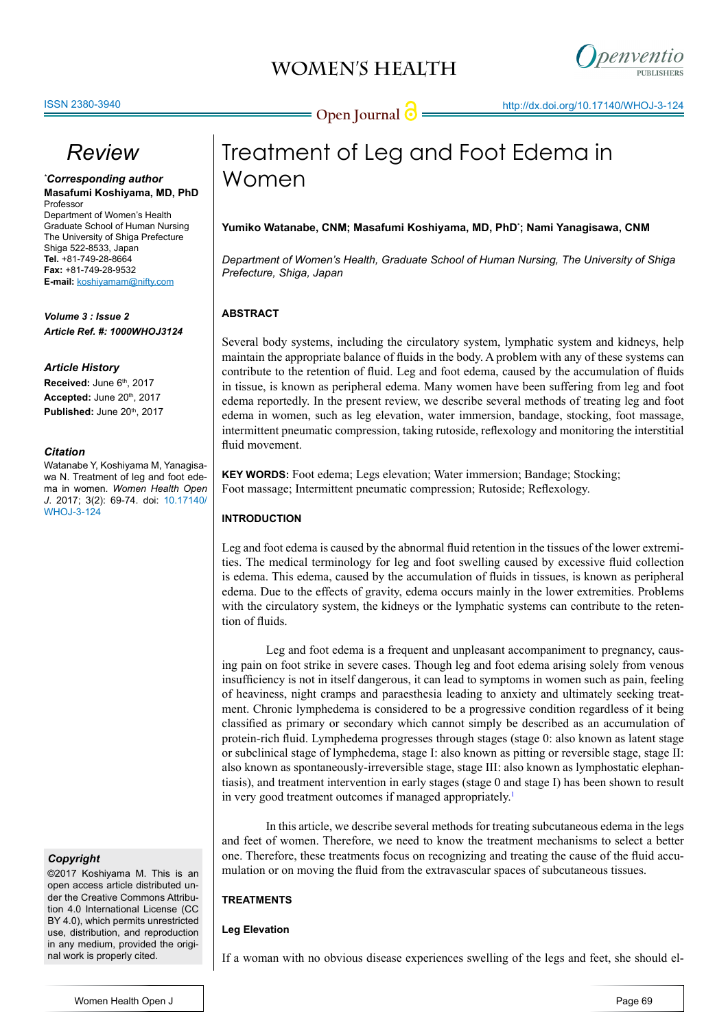



# *Review*

*\* Corresponding author* **Masafumi Koshiyama, MD, PhD** Professor

Department of Women's Health Graduate School of Human Nursing The University of Shiga Prefecture Shiga 522-8533, Japan **Tel.** +81-749-28-8664 **Fax:** +81-749-28-9532 **E-mail:** koshiyamam@nifty.com

*Volume 3 : Issue 2 Article Ref. #: 1000WHOJ3124*

#### *Article History*

Received: June 6<sup>th</sup>, 2017 Accepted: June 20<sup>th</sup>, 2017 **Published:** June 20th, 2017

#### *Citation*

Watanabe Y, Koshiyama M, Yanagisawa N. Treatment of leg and foot edema in women. *Women Health Open J*. 2017; 3(2): 69-74. doi: [10.17140/](http://openventio.org/Volume2_Issue1/The_Current_State_of_Professional_Midwives_in_Japan_and_their_Traditional_Virtues_WHOJ_2_114.pdf) [WHOJ-3-12](http://openventio.org/Volume2_Issue1/The_Current_State_of_Professional_Midwives_in_Japan_and_their_Traditional_Virtues_WHOJ_2_114.pdf)4

#### *Copyright*

©2017 Koshiyama M. This is an open access article distributed under the Creative Commons Attribution 4.0 International License (CC BY 4.0), which permits unrestricted use, distribution, and reproduction in any medium, provided the original work is properly cited.

# Treatment of Leg and Foot Edema in Women

#### **Yumiko Watanabe, CNM; Masafumi Koshiyama, MD, PhD\* ; Nami Yanagisawa, CNM**

*Department of Women's Health, Graduate School of Human Nursing, The University of Shiga Prefecture, Shiga, Japan*

### **ABSTRACT**

Several body systems, including the circulatory system, lymphatic system and kidneys, help maintain the appropriate balance of fluids in the body. A problem with any of these systems can contribute to the retention of fluid. Leg and foot edema, caused by the accumulation of fluids in tissue, is known as peripheral edema. Many women have been suffering from leg and foot edema reportedly. In the present review, we describe several methods of treating leg and foot edema in women, such as leg elevation, water immersion, bandage, stocking, foot massage, intermittent pneumatic compression, taking rutoside, reflexology and monitoring the interstitial fluid movement.

**KEY WORDS:** Foot edema; Legs elevation; Water immersion; Bandage; Stocking; Foot massage; Intermittent pneumatic compression; Rutoside; Reflexology.

### **INTRODUCTION**

Leg and foot edema is caused by the abnormal fluid retention in the tissues of the lower extremities. The medical terminology for leg and foot swelling caused by excessive fluid collection is edema. This edema, caused by the accumulation of fluids in tissues, is known as peripheral edema. Due to the effects of gravity, edema occurs mainly in the lower extremities. Problems with the circulatory system, the kidneys or the lymphatic systems can contribute to the retention of fluids.

Leg and foot edema is a frequent and unpleasant accompaniment to pregnancy, causing pain on foot strike in severe cases. Though leg and foot edema arising solely from venous insufficiency is not in itself dangerous, it can lead to symptoms in women such as pain, feeling of heaviness, night cramps and paraesthesia leading to anxiety and ultimately seeking treatment. Chronic lymphedema is considered to be a progressive condition regardless of it being classified as primary or secondary which cannot simply be described as an accumulation of protein-rich fluid. Lymphedema progresses through stages (stage 0: also known as latent stage or subclinical stage of lymphedema, stage I: also known as pitting or reversible stage, stage II: also known as spontaneously-irreversible stage, stage III: also known as lymphostatic elephantiasis), and treatment intervention in early stages (stage 0 and stage I) has been shown to result in very good treatment outcomes if managed appropriately.<sup>1</sup>

In this article, we describe several methods for treating subcutaneous edema in the legs and feet of women. Therefore, we need to know the treatment mechanisms to select a better one. Therefore, these treatments focus on recognizing and treating the cause of the fluid accumulation or on moving the fluid from the extravascular spaces of subcutaneous tissues.

### **TREATMENTS**

### **Leg Elevation**

If a woman with no obvious disease experiences swelling of the legs and feet, she should el-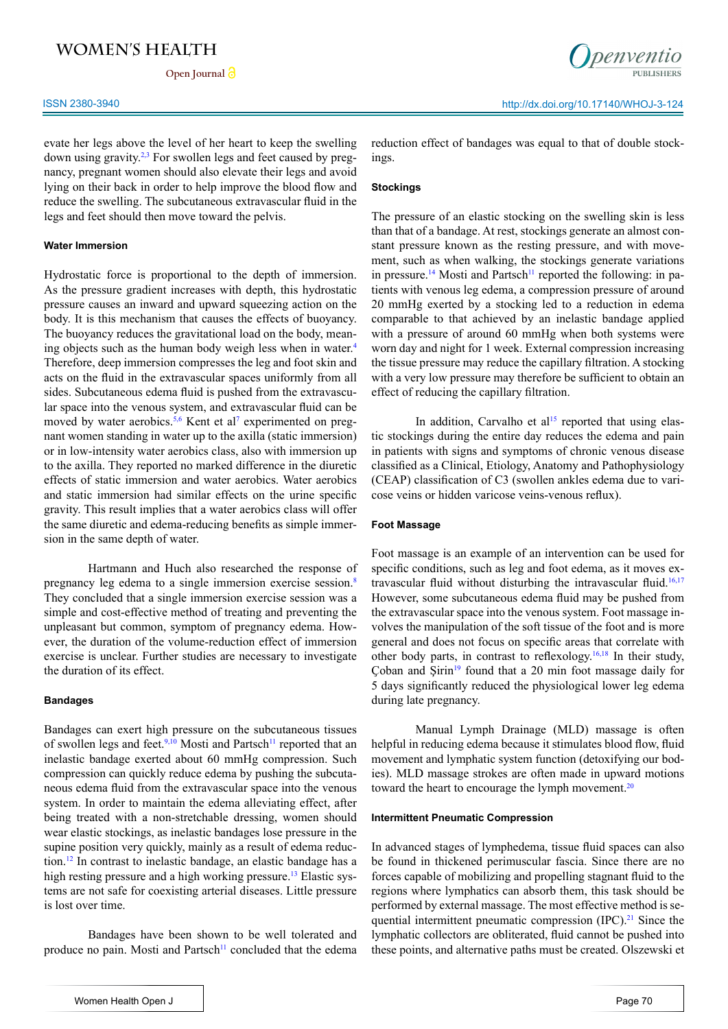Open Journal<sup>2</sup>

evate her legs above the level of her heart to keep the swelling down using gravity.2,3 For swollen legs and feet caused by pregnancy, pregnant women should also elevate their legs and avoid lying on their back in order to help improve the blood flow and reduce the swelling. The subcutaneous extravascular fluid in the legs and feet should then move toward the pelvis.

#### **Water Immersion**

Hydrostatic force is proportional to the depth of immersion. As the pressure gradient increases with depth, this hydrostatic pressure causes an inward and upward squeezing action on the body. It is this mechanism that causes the effects of buoyancy. The buoyancy reduces the gravitational load on the body, meaning objects such as the human body weigh less when in water.<sup>4</sup> Therefore, deep immersion compresses the leg and foot skin and acts on the fluid in the extravascular spaces uniformly from all sides. Subcutaneous edema fluid is pushed from the extravascular space into the venous system, and extravascular fluid can be moved by water aerobics.<sup>5,6</sup> Kent et al<sup>7</sup> experimented on pregnant women standing in water up to the axilla (static immersion) or in low-intensity water aerobics class, also with immersion up to the axilla. They reported no marked difference in the diuretic effects of static immersion and water aerobics. Water aerobics and static immersion had similar effects on the urine specific gravity. This result implies that a water aerobics class will offer the same diuretic and edema-reducing benefits as simple immersion in the same depth of water.

Hartmann and Huch also researched the response of pregnancy leg edema to a single immersion exercise session.8 They concluded that a single immersion exercise session was a simple and cost-effective method of treating and preventing the unpleasant but common, symptom of pregnancy edema. However, the duration of the volume-reduction effect of immersion exercise is unclear. Further studies are necessary to investigate the duration of its effect.

#### **Bandages**

Bandages can exert high pressure on the subcutaneous tissues of swollen legs and feet.<sup>9,10</sup> Mosti and Partsch<sup>11</sup> reported that an inelastic bandage exerted about 60 mmHg compression. Such compression can quickly reduce edema by pushing the subcutaneous edema fluid from the extravascular space into the venous system. In order to maintain the edema alleviating effect, after being treated with a non-stretchable dressing, women should wear elastic stockings, as inelastic bandages lose pressure in the supine position very quickly, mainly as a result of edema reduction.12 In contrast to inelastic bandage, an elastic bandage has a high resting pressure and a high working pressure.<sup>13</sup> Elastic systems are not safe for coexisting arterial diseases. Little pressure is lost over time.

Bandages have been shown to be well tolerated and produce no pain. Mosti and Partsch<sup>11</sup> concluded that the edema reduction effect of bandages was equal to that of double stockings.

#### **Stockings**

The pressure of an elastic stocking on the swelling skin is less than that of a bandage. At rest, stockings generate an almost constant pressure known as the resting pressure, and with movement, such as when walking, the stockings generate variations in pressure.<sup>14</sup> Mosti and Partsch<sup>11</sup> reported the following: in patients with venous leg edema, a compression pressure of around 20 mmHg exerted by a stocking led to a reduction in edema comparable to that achieved by an inelastic bandage applied with a pressure of around 60 mmHg when both systems were worn day and night for 1 week. External compression increasing the tissue pressure may reduce the capillary filtration. A stocking with a very low pressure may therefore be sufficient to obtain an effect of reducing the capillary filtration.

In addition, Carvalho et  $al<sup>15</sup>$  reported that using elastic stockings during the entire day reduces the edema and pain in patients with signs and symptoms of chronic venous disease classified as a Clinical, Etiology, Anatomy and Pathophysiology (CEAP) classification of C3 (swollen ankles edema due to varicose veins or hidden varicose veins-venous reflux).

#### **Foot Massage**

Foot massage is an example of an intervention can be used for specific conditions, such as leg and foot edema, as it moves extravascular fluid without disturbing the intravascular fluid.<sup>16,17</sup> However, some subcutaneous edema fluid may be pushed from the extravascular space into the venous system. Foot massage involves the manipulation of the soft tissue of the foot and is more general and does not focus on specific areas that correlate with other body parts, in contrast to reflexology.16,18 In their study, Ҫoban and Şirin19 found that a 20 min foot massage daily for 5 days significantly reduced the physiological lower leg edema during late pregnancy.

Manual Lymph Drainage (MLD) massage is often helpful in reducing edema because it stimulates blood flow, fluid movement and lymphatic system function (detoxifying our bodies). MLD massage strokes are often made in upward motions toward the heart to encourage the lymph movement.<sup>20</sup>

#### **Intermittent Pneumatic Compression**

In advanced stages of lymphedema, tissue fluid spaces can also be found in thickened perimuscular fascia. Since there are no forces capable of mobilizing and propelling stagnant fluid to the regions where lymphatics can absorb them, this task should be performed by external massage. The most effective method is sequential intermittent pneumatic compression (IPC).<sup>21</sup> Since the lymphatic collectors are obliterated, fluid cannot be pushed into these points, and alternative paths must be created. Olszewski et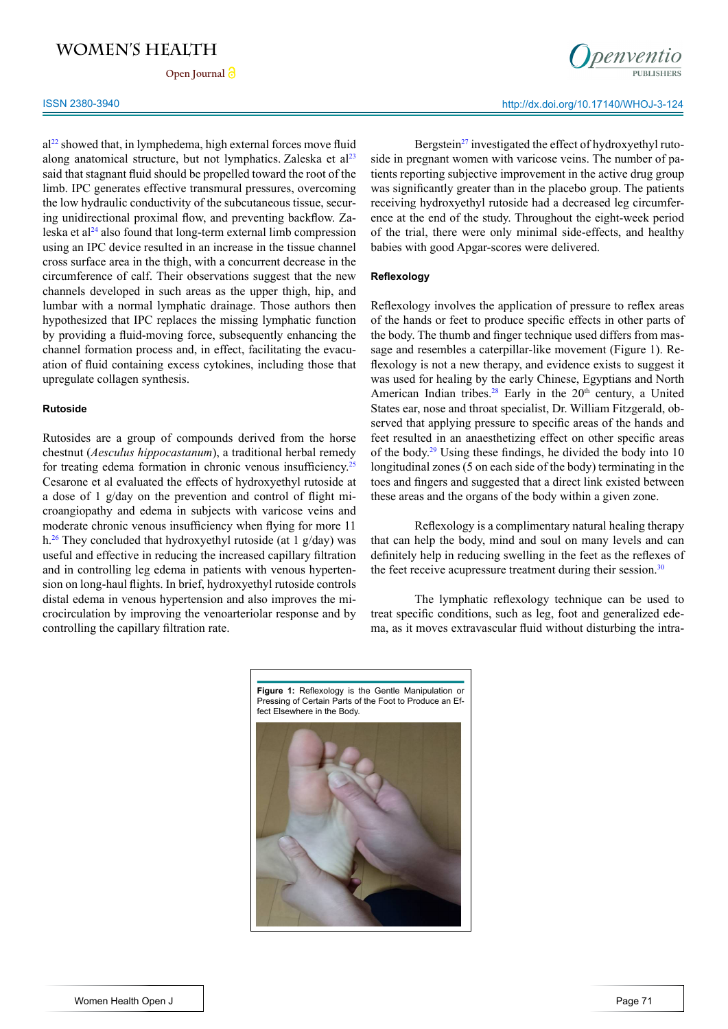Open Journal<sup>2</sup>

 $a^{22}$  showed that, in lymphedema, high external forces move fluid along anatomical structure, but not lymphatics. Zaleska et  $a^{23}$ said that stagnant fluid should be propelled toward the root of the limb. IPC generates effective transmural pressures, overcoming the low hydraulic conductivity of the subcutaneous tissue, securing unidirectional proximal flow, and preventing backflow. Zaleska et al<sup>24</sup> also found that long-term external limb compression using an IPC device resulted in an increase in the tissue channel cross surface area in the thigh, with a concurrent decrease in the circumference of calf. Their observations suggest that the new channels developed in such areas as the upper thigh, hip, and lumbar with a normal lymphatic drainage. Those authors then hypothesized that IPC replaces the missing lymphatic function by providing a fluid-moving force, subsequently enhancing the channel formation process and, in effect, facilitating the evacuation of fluid containing excess cytokines, including those that upregulate collagen synthesis.

### **Rutoside**

Rutosides are a group of compounds derived from the horse chestnut (*Aesculus hippocastanum*), a traditional herbal remedy for treating edema formation in chronic venous insufficiency.<sup>25</sup> Cesarone et al evaluated the effects of hydroxyethyl rutoside at a dose of 1 g/day on the prevention and control of flight microangiopathy and edema in subjects with varicose veins and moderate chronic venous insufficiency when flying for more 11 h.26 They concluded that hydroxyethyl rutoside (at 1 g/day) was useful and effective in reducing the increased capillary filtration and in controlling leg edema in patients with venous hypertension on long-haul flights. In brief, hydroxyethyl rutoside controls distal edema in venous hypertension and also improves the microcirculation by improving the venoarteriolar response and by controlling the capillary filtration rate.

Bergstein $^{27}$  investigated the effect of hydroxyethyl rutoside in pregnant women with varicose veins. The number of patients reporting subjective improvement in the active drug group was significantly greater than in the placebo group. The patients receiving hydroxyethyl rutoside had a decreased leg circumference at the end of the study. Throughout the eight-week period of the trial, there were only minimal side-effects, and healthy babies with good Apgar-scores were delivered.

#### **Reflexology**

Reflexology involves the application of pressure to reflex areas of the hands or feet to produce specific effects in other parts of the body. The thumb and finger technique used differs from massage and resembles a caterpillar-like movement (Figure 1). Reflexology is not a new therapy, and evidence exists to suggest it was used for healing by the early Chinese, Egyptians and North American Indian tribes.<sup>28</sup> Early in the  $20<sup>th</sup>$  century, a United States ear, nose and throat specialist, Dr. William Fitzgerald, observed that applying pressure to specific areas of the hands and feet resulted in an anaesthetizing effect on other specific areas of the body.29 Using these findings, he divided the body into 10 longitudinal zones (5 on each side of the body) terminating in the toes and fingers and suggested that a direct link existed between these areas and the organs of the body within a given zone.

Reflexology is a complimentary [natural healing](http://en.wikipedia.org/wiki/Naturopathy) therapy that can help the body, mind and soul on many levels and can definitely help in [reducing](http://en.wikipedia.org/wiki/Redox) [swelling](http://en.wikipedia.org/wiki/Swelling_%28medical%29) in the feet as the reflexes of the feet receive acupressure treatment during their session.<sup>30</sup>

The lymphatic reflexology technique can be used to treat specific conditions, such as leg, foot and generalized edema, as it moves extravascular fluid without disturbing the intra-

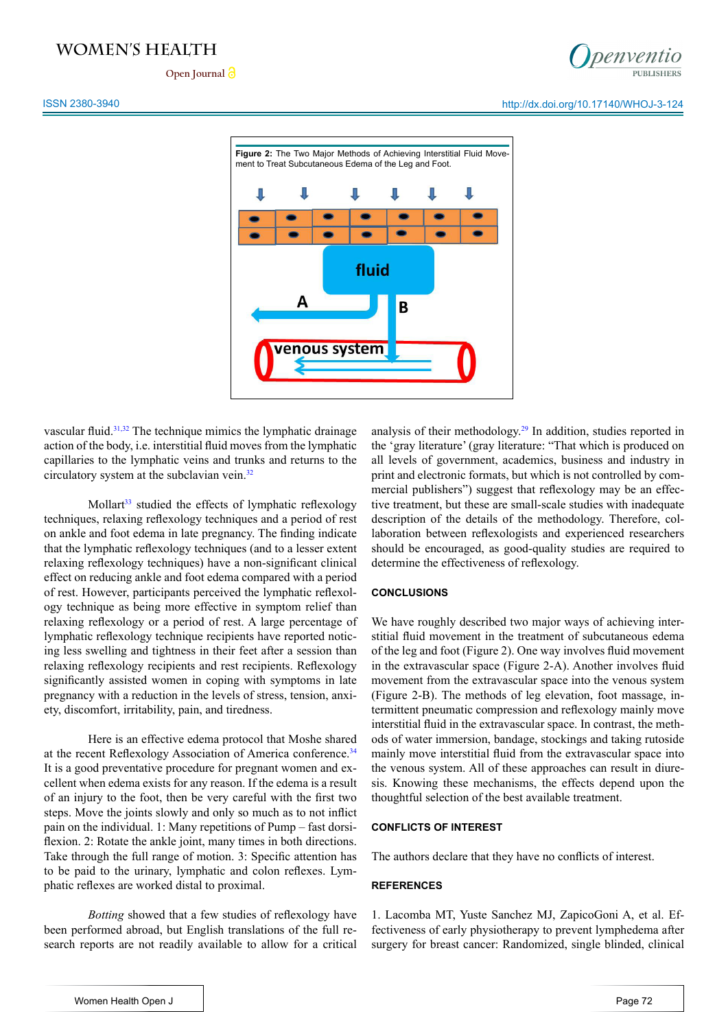Open Journal<sup>2</sup>



#### ISSN 2380-3940 http://dx.doi.org/10.17140/WHOJ-3-124



vascular fluid.<sup>31,32</sup> The technique mimics the lymphatic drainage action of the body, i.e. interstitial fluid moves from the lymphatic capillaries to the lymphatic veins and trunks and returns to the circulatory system at the subclavian vein.<sup>32</sup>

Mollart<sup>33</sup> studied the effects of lymphatic reflexology techniques, relaxing reflexology techniques and a period of rest on ankle and foot edema in late pregnancy. The finding indicate that the lymphatic reflexology techniques (and to a lesser extent relaxing reflexology techniques) have a non-significant clinical effect on reducing ankle and foot edema compared with a period of rest. However, participants perceived the lymphatic reflexology technique as being more effective in symptom relief than relaxing reflexology or a period of rest. A large percentage of lymphatic reflexology technique recipients have reported noticing less swelling and tightness in their feet after a session than relaxing reflexology recipients and rest recipients. Reflexology significantly assisted women in coping with symptoms in late pregnancy with a reduction in the levels of stress, tension, anxiety, discomfort, irritability, pain, and tiredness.

Here is an effective edema protocol that Moshe shared at the recent Reflexology Association of America conference.<sup>34</sup> It is a good preventative procedure for pregnant women and excellent when edema exists for any reason. If the edema is a result of an injury to the foot, then be very careful with the first two steps. Move the joints slowly and only so much as to not inflict pain on the individual. 1: Many repetitions of Pump – fast dorsiflexion. 2: Rotate the ankle joint, many times in both directions. Take through the full range of motion. 3: Specific attention has to be paid to the urinary, lymphatic and colon reflexes. Lymphatic reflexes are worked distal to proximal.

*Botting* showed that a few studies of reflexology have been performed abroad, but English translations of the full research reports are not readily available to allow for a critical analysis of their methodology.29 In addition, studies reported in the 'gray literature' (gray literature: "That which is produced on all levels of government, academics, business and industry in print and electronic formats, but which is not controlled by commercial publishers") suggest that reflexology may be an effective treatment, but these are small-scale studies with inadequate description of the details of the methodology. Therefore, collaboration between reflexologists and experienced researchers should be encouraged, as good-quality studies are required to determine the effectiveness of reflexology.

#### **CONCLUSIONS**

We have roughly described two major ways of achieving interstitial fluid movement in the treatment of subcutaneous edema of the leg and foot (Figure 2). One way involves fluid movement in the extravascular space (Figure 2-A). Another involves fluid movement from the extravascular space into the venous system (Figure 2-B). The methods of leg elevation, foot massage, intermittent pneumatic compression and reflexology mainly move interstitial fluid in the extravascular space. In contrast, the methods of water immersion, bandage, stockings and taking rutoside mainly move interstitial fluid from the extravascular space into the venous system. All of these approaches can result in diuresis. Knowing these mechanisms, the effects depend upon the thoughtful selection of the best available treatment.

#### **CONFLICTS OF INTEREST**

The authors declare that they have no conflicts of interest.

#### **REFERENCES**

1. Lacomba MT, Yuste Sanchez MJ, ZapicoGoni A, et al. Effectiveness of early physiotherapy to prevent lymphedema after surgery for breast cancer: Randomized, single blinded, clinical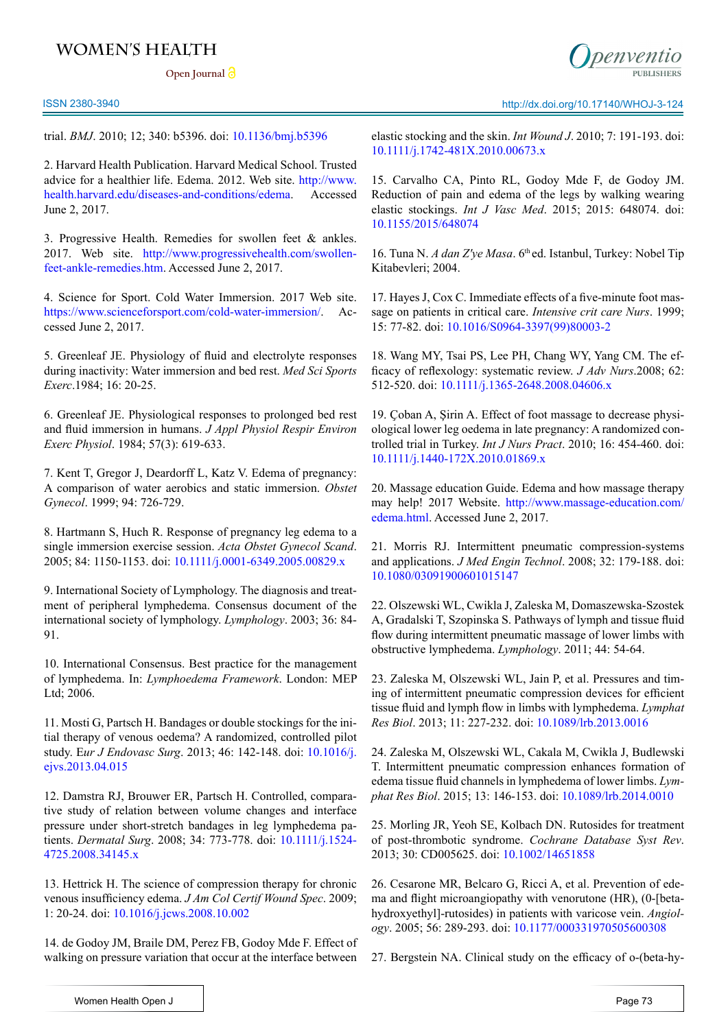Open Journal<sup>2</sup>





trial. *BMJ*. 2010; 12; 340: b5396. doi: [10.1136/bmj.b5396](https://doi.org/10.1136/bmj.b5396)

2. Harvard Health Publication. Harvard Medical School. Trusted advice for a healthier life. Edema. 2012. Web site. [http://www.](http://www.health.harvard.edu/diseases-and-conditions/edema) [health.harvard.edu/diseases-and-conditions/edema.](http://www.health.harvard.edu/diseases-and-conditions/edema) Accessed June 2, 2017.

3. Progressive Health. Remedies for swollen feet & ankles. 2017. Web site. [http://www.progressivehealth.com/swollen](http://www.progressivehealth.com/swollen-feet-ankle-remedies.htm)[feet-ankle-remedies.htm](http://www.progressivehealth.com/swollen-feet-ankle-remedies.htm). Accessed June 2, 2017.

4. Science for Sport. Cold Water Immersion. 2017 Web site. <https://www.scienceforsport.com/cold-water-immersion/>. Accessed June 2, 2017.

5. Greenleaf JE. Physiology of fluid and electrolyte responses during inactivity: Water immersion and bed rest. *Med Sci Sports Exerc*.1984; 16: 20-25.

6. Greenleaf JE. Physiological responses to prolonged bed rest and fluid immersion in humans. *J Appl Physiol Respir Environ Exerc Physiol*. 1984; 57(3): 619-633.

7. Kent T, Gregor J, Deardorff L, Katz V. Edema of pregnancy: A comparison of water aerobics and static immersion. *Obstet Gynecol*. 1999; 94: 726-729.

8. Hartmann S, Huch R. Response of pregnancy leg edema to a single immersion exercise session. *Acta Obstet Gynecol Scand*. 2005; 84: 1150-1153. doi: [10.1111/j.0001-6349.2005.00829.x](http://dx.doi.org/10.1111/j.0001-6349.2005.00829.x)

9. International Society of Lymphology. The diagnosis and treatment of peripheral lymphedema. Consensus document of the international society of lymphology. *Lymphology*. 2003; 36: 84- 91.

10. International Consensus. Best practice for the management of lymphedema. In: *Lymphoedema Framework*. London: MEP Ltd; 2006.

11. Mosti G, Partsch H. Bandages or double stockings for the initial therapy of venous oedema? A randomized, controlled pilot study. E*ur J Endovasc Surg*. 2013; 46: 142-148. doi: [10.1016/j.](https://doi.org/10.1016/j.ejvs.2013.04.015) [ejvs.2013.04.015](https://doi.org/10.1016/j.ejvs.2013.04.015)

12. Damstra RJ, Brouwer ER, Partsch H. Controlled, comparative study of relation between volume changes and interface pressure under short-stretch bandages in leg lymphedema patients. *Dermatal Surg*. 2008; 34: 773-778. doi: [10.1111/j.1524-](http://onlinelibrary.wiley.com/doi/10.1111/j.1524-4725.2008.34145.x/full) [4725.2008.34145.x](http://onlinelibrary.wiley.com/doi/10.1111/j.1524-4725.2008.34145.x/full)

13. Hettrick H. The science of compression therapy for chronic venous insufficiency edema. *J Am Col Certif Wound Spec*. 2009; 1: 20-24. doi: [10.1016/j.jcws.2008.10.002](https://doi.org/10.1016/j.jcws.2008.10.002)

14. de Godoy JM, Braile DM, Perez FB, Godoy Mde F. Effect of walking on pressure variation that occur at the interface between elastic stocking and the skin. *Int Wound J*. 2010; 7: 191-193. doi: [10.1111/j.1742-481X.2010.00673.x](http://onlinelibrary.wiley.com/doi/10.1111/j.1742-481X.2010.00673.x/full)

15. Carvalho CA, Pinto RL, Godoy Mde F, de Godoy JM. Reduction of pain and edema of the legs by walking wearing elastic stockings. *Int J Vasc Med*. 2015; 2015: 648074. doi: [10.1155/2015/648074](https://www.hindawi.com/journals/ijvm/2015/648074/abs/)

16. Tuna N. *A dan Z've Masa*. 6<sup>th</sup> ed. Istanbul, Turkey: Nobel Tip Kitabevleri; 2004.

17. Hayes J, Cox C. Immediate effects of a five-minute foot massage on patients in critical care. *Intensive crit care Nurs*. 1999; 15: 77-82. doi: [10.1016/S0964-3397\(99\)80003-2](https://doi.org/10.1016/S0964-3397%2899%2980003-2)

18. Wang MY, Tsai PS, Lee PH, Chang WY, Yang CM. The efficacy of reflexology: systematic review. *J Adv Nurs*.2008; 62: 512-520. doi: [10.1111/j.1365-2648.2008.04606.x](http://onlinelibrary.wiley.com/doi/10.1111/j.1365-2648.2008.04606.x/full)

19. Ҫoban A, Şirin A. Effect of foot massage to decrease physiological lower leg oedema in late pregnancy: A randomized controlled trial in Turkey. *Int J Nurs Pract*. 2010; 16: 454-460. doi: [10.1111/j.1440-172X.2010.01869.x](http://onlinelibrary.wiley.com/doi/10.1111/j.1440-172X.2010.01869.x/full)

20. Massage education Guide. Edema and how massage therapy may help! 2017 Website. [http://www.massage-education.com/](http://www.massage-education.com/edema.html) [edema.html.](http://www.massage-education.com/edema.html) Accessed June 2, 2017.

21. Morris RJ. Intermittent pneumatic compression-systems and applications. *J Med Engin Technol*. 2008; 32: 179-188. doi: [10.1080/03091900601015147](http://dx.doi.org/10.1080/03091900601015147)

22. Olszewski WL, Cwikla J, Zaleska M, Domaszewska-Szostek A, Gradalski T, Szopinska S. Pathways of lymph and tissue fluid flow during intermittent pneumatic massage of lower limbs with obstructive lymphedema. *Lymphology*. 2011; 44: 54-64.

23. Zaleska M, Olszewski WL, Jain P, et al. Pressures and timing of intermittent pneumatic compression devices for efficient tissue fluid and lymph flow in limbs with lymphedema. *Lymphat Res Biol*. 2013; 11: 227-232. doi: [10.1089/lrb.2013.0016](https://doi.org/10.1089/lrb.2013.0016)

24. Zaleska M, Olszewski WL, Cakala M, Cwikla J, Budlewski T. Intermittent pneumatic compression enhances formation of edema tissue fluid channels in lymphedema of lower limbs. *Lymphat Res Biol*. 2015; 13: 146-153. doi: [10.1089/lrb.2014.0010](ttps://doi.org/10.1089/lrb.2014.0010)

25. Morling JR, Yeoh SE, Kolbach DN. Rutosides for treatment of post-thrombotic syndrome. *Cochrane Database Syst Rev*. 2013; 30: CD005625. doi: [10.1002/14651858](http://dx.doi.org/10.1002/14651858)

26. Cesarone MR, Belcaro G, Ricci A, et al. Prevention of edema and flight microangiopathy with venorutone (HR), (0-[betahydroxyethyl]-rutosides) in patients with varicose vein. *Angiology*. 2005; 56: 289-293. doi: [10.1177/000331970505600308](http://journals.sagepub.com/doi/abs/10.1177/000331970505600308)

27. Bergstein NA. Clinical study on the efficacy of o-(beta-hy-